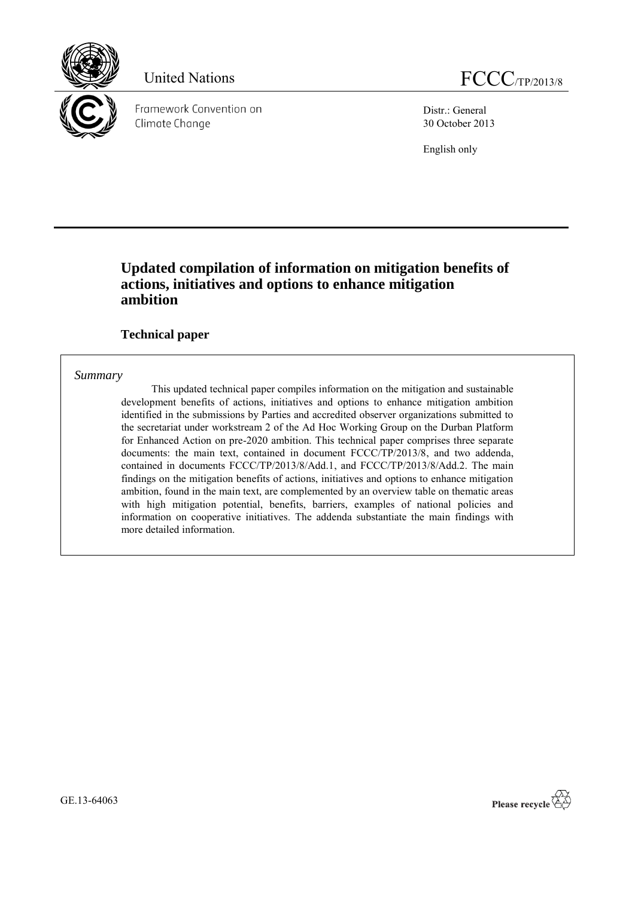

Distr.: General 30 October 2013

English only

## **Updated compilation of information on mitigation benefits of actions, initiatives and options to enhance mitigation ambition**

## **Technical paper**

## *Summary*

This updated technical paper compiles information on the mitigation and sustainable development benefits of actions, initiatives and options to enhance mitigation ambition identified in the submissions by Parties and accredited observer organizations submitted to the secretariat under workstream 2 of the Ad Hoc Working Group on the Durban Platform for Enhanced Action on pre-2020 ambition. This technical paper comprises three separate documents: the main text, contained in document FCCC/TP/2013/8, and two addenda, contained in documents FCCC/TP/2013/8/Add.1, and FCCC/TP/2013/8/Add.2. The main findings on the mitigation benefits of actions, initiatives and options to enhance mitigation ambition, found in the main text, are complemented by an overview table on thematic areas with high mitigation potential, benefits, barriers, examples of national policies and information on cooperative initiatives. The addenda substantiate the main findings with more detailed information.

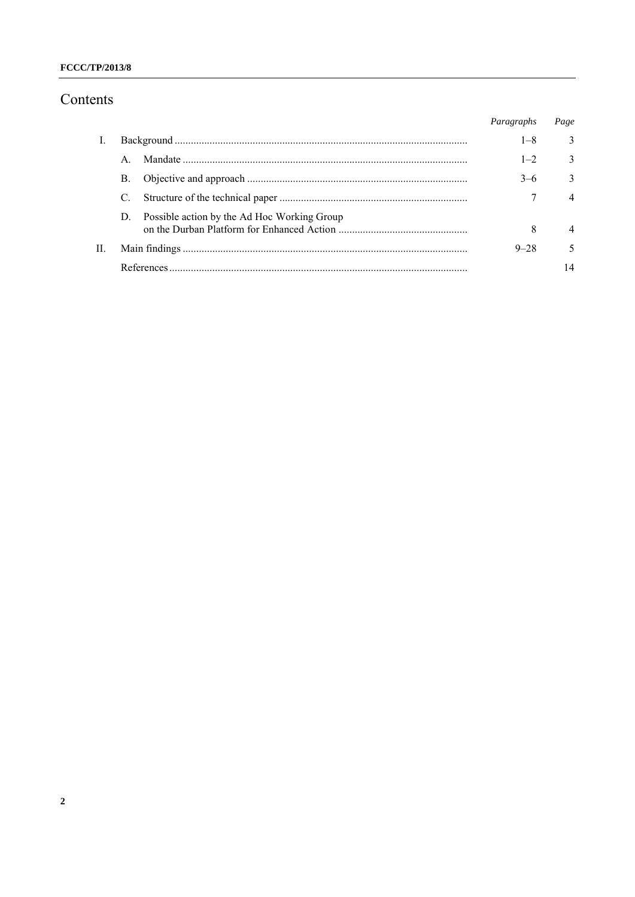## FCCC/TP/2013/8

# Contents

|    |    |                                             | Paragraphs | Page          |
|----|----|---------------------------------------------|------------|---------------|
|    |    |                                             | $1 - 8$    | 3             |
|    |    |                                             | $1 - 2$    | 3             |
|    | В. |                                             | $3-6$      | $\mathcal{E}$ |
|    |    |                                             |            | $\Delta$      |
|    | D. | Possible action by the Ad Hoc Working Group |            |               |
|    |    |                                             | 8          | 4             |
| H. |    |                                             | $9 - 28$   |               |
|    |    |                                             |            | 14            |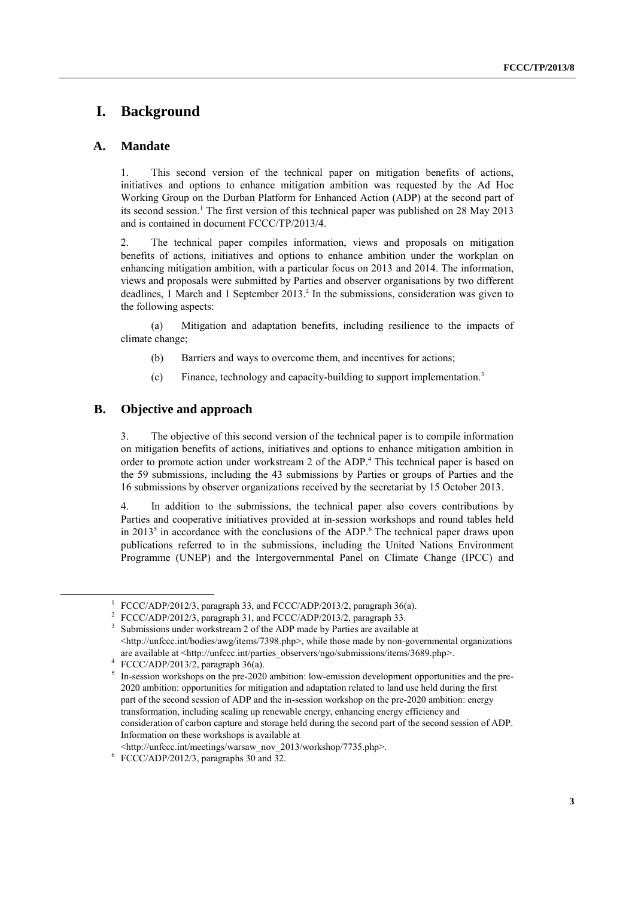## **I. Background**

## **A. Mandate**

1. This second version of the technical paper on mitigation benefits of actions, initiatives and options to enhance mitigation ambition was requested by the Ad Hoc Working Group on the Durban Platform for Enhanced Action (ADP) at the second part of its second session.<sup>1</sup> The first version of this technical paper was published on 28 May 2013 and is contained in document FCCC/TP/2013/4.

2. The technical paper compiles information, views and proposals on mitigation benefits of actions, initiatives and options to enhance ambition under the workplan on enhancing mitigation ambition, with a particular focus on 2013 and 2014. The information, views and proposals were submitted by Parties and observer organisations by two different deadlines, 1 March and 1 September 2013. 2 In the submissions, consideration was given to the following aspects:

(a) Mitigation and adaptation benefits, including resilience to the impacts of climate change;

- (b) Barriers and ways to overcome them, and incentives for actions;
- (c) Finance, technology and capacity-building to support implementation.<sup>3</sup>

## **B. Objective and approach**

3. The objective of this second version of the technical paper is to compile information on mitigation benefits of actions, initiatives and options to enhance mitigation ambition in order to promote action under workstream 2 of the ADP. <sup>4</sup> This technical paper is based on the 59 submissions, including the 43 submissions by Parties or groups of Parties and the 16 submissions by observer organizations received by the secretariat by 15 October 2013.

4. In addition to the submissions, the technical paper also covers contributions by Parties and cooperative initiatives provided at in-session workshops and round tables held in 2013<sup>5</sup> in accordance with the conclusions of the ADP.<sup>6</sup> The technical paper draws upon publications referred to in the submissions, including the United Nations Environment Programme (UNEP) and the Intergovernmental Panel on Climate Change (IPCC) and

<sup>1</sup> FCCC/ADP/2012/3, paragraph 33, and FCCC/ADP/2013/2, paragraph 36(a).

<sup>&</sup>lt;sup>2</sup> FCCC/ADP/2012/3, paragraph 31, and FCCC/ADP/2013/2, paragraph 33.

<sup>3</sup> Submissions under workstream 2 of the ADP made by Parties are available at <http://unfccc.int/bodies/awg/items/7398.php>, while those made by non-governmental organizations are available at <http://unfccc.int/parties\_observers/ngo/submissions/items/3689.php>.

<sup>4</sup> FCCC/ADP/2013/2, paragraph  $36(a)$ .

<sup>5</sup> In-session workshops on the pre-2020 ambition: low-emission development opportunities and the pre-2020 ambition: opportunities for mitigation and adaptation related to land use held during the first part of the second session of ADP and the in-session workshop on the pre-2020 ambition: energy transformation, including scaling up renewable energy, enhancing energy efficiency and consideration of carbon capture and storage held during the second part of the second session of ADP. Information on these workshops is available at

<sup>&</sup>lt;http://unfccc.int/meetings/warsaw\_nov\_2013/workshop/7735.php>.

<sup>6</sup> FCCC/ADP/2012/3, paragraphs 30 and 32.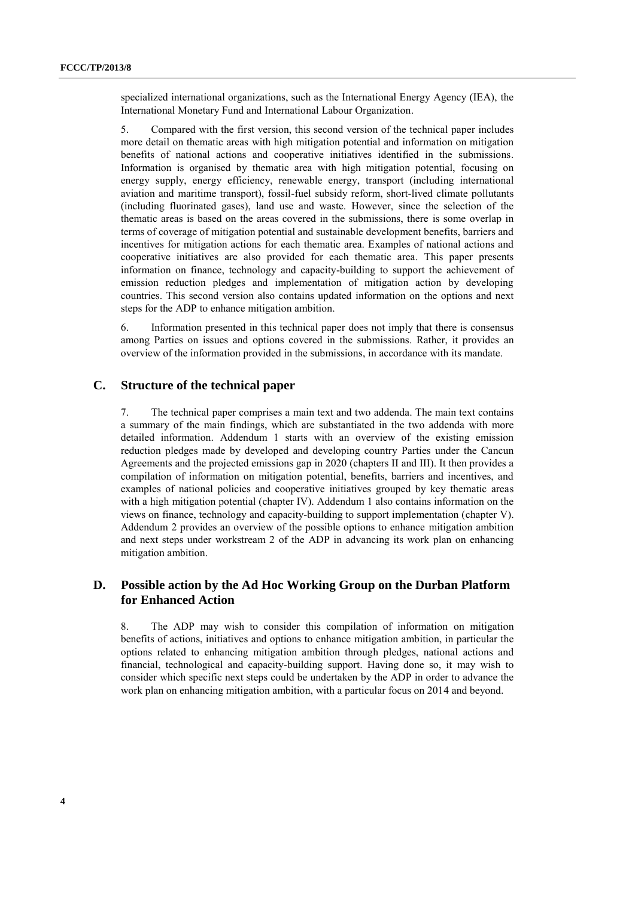specialized international organizations, such as the International Energy Agency (IEA), the International Monetary Fund and International Labour Organization.

5. Compared with the first version, this second version of the technical paper includes more detail on thematic areas with high mitigation potential and information on mitigation benefits of national actions and cooperative initiatives identified in the submissions. Information is organised by thematic area with high mitigation potential, focusing on energy supply, energy efficiency, renewable energy, transport (including international aviation and maritime transport), fossil-fuel subsidy reform, short-lived climate pollutants (including fluorinated gases), land use and waste. However, since the selection of the thematic areas is based on the areas covered in the submissions, there is some overlap in terms of coverage of mitigation potential and sustainable development benefits, barriers and incentives for mitigation actions for each thematic area. Examples of national actions and cooperative initiatives are also provided for each thematic area. This paper presents information on finance, technology and capacity-building to support the achievement of emission reduction pledges and implementation of mitigation action by developing countries. This second version also contains updated information on the options and next steps for the ADP to enhance mitigation ambition.

6. Information presented in this technical paper does not imply that there is consensus among Parties on issues and options covered in the submissions. Rather, it provides an overview of the information provided in the submissions, in accordance with its mandate.

#### **C. Structure of the technical paper**

7. The technical paper comprises a main text and two addenda. The main text contains a summary of the main findings, which are substantiated in the two addenda with more detailed information. Addendum 1 starts with an overview of the existing emission reduction pledges made by developed and developing country Parties under the Cancun Agreements and the projected emissions gap in 2020 (chapters II and III). It then provides a compilation of information on mitigation potential, benefits, barriers and incentives, and examples of national policies and cooperative initiatives grouped by key thematic areas with a high mitigation potential (chapter IV). Addendum 1 also contains information on the views on finance, technology and capacity-building to support implementation (chapter V). Addendum 2 provides an overview of the possible options to enhance mitigation ambition and next steps under workstream 2 of the ADP in advancing its work plan on enhancing mitigation ambition.

## **D. Possible action by the Ad Hoc Working Group on the Durban Platform for Enhanced Action**

8. The ADP may wish to consider this compilation of information on mitigation benefits of actions, initiatives and options to enhance mitigation ambition, in particular the options related to enhancing mitigation ambition through pledges, national actions and financial, technological and capacity-building support. Having done so, it may wish to consider which specific next steps could be undertaken by the ADP in order to advance the work plan on enhancing mitigation ambition, with a particular focus on 2014 and beyond.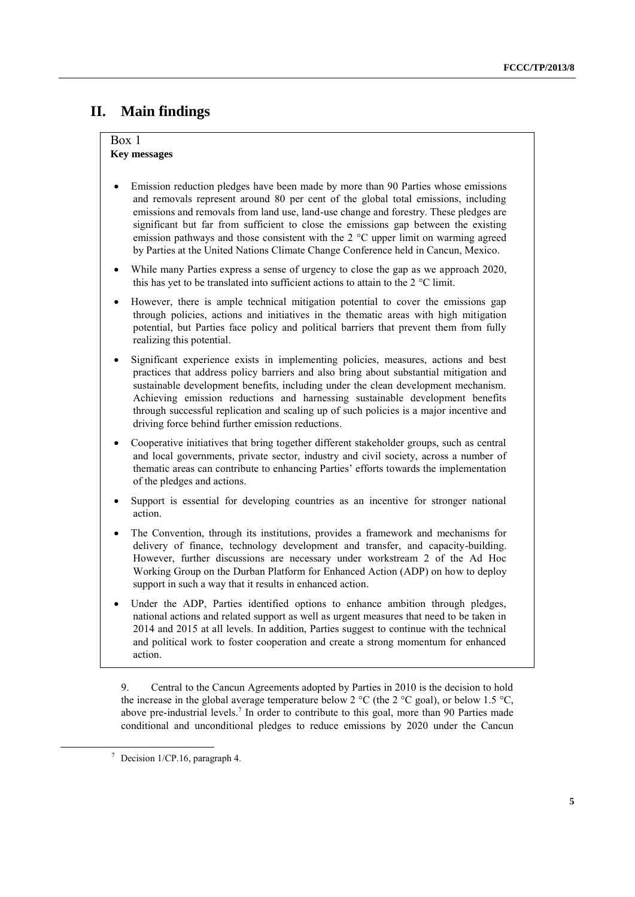## **II. Main findings**

#### Box 1 **Key messages**

- Emission reduction pledges have been made by more than 90 Parties whose emissions and removals represent around 80 per cent of the global total emissions, including emissions and removals from land use, land-use change and forestry. These pledges are significant but far from sufficient to close the emissions gap between the existing emission pathways and those consistent with the 2 °C upper limit on warming agreed by Parties at the United Nations Climate Change Conference held in Cancun, Mexico.
- While many Parties express a sense of urgency to close the gap as we approach 2020, this has yet to be translated into sufficient actions to attain to the 2 °C limit.
- However, there is ample technical mitigation potential to cover the emissions gap through policies, actions and initiatives in the thematic areas with high mitigation potential, but Parties face policy and political barriers that prevent them from fully realizing this potential.
- Significant experience exists in implementing policies, measures, actions and best practices that address policy barriers and also bring about substantial mitigation and sustainable development benefits, including under the clean development mechanism. Achieving emission reductions and harnessing sustainable development benefits through successful replication and scaling up of such policies is a major incentive and driving force behind further emission reductions.
- Cooperative initiatives that bring together different stakeholder groups, such as central and local governments, private sector, industry and civil society, across a number of thematic areas can contribute to enhancing Parties' efforts towards the implementation of the pledges and actions.
- Support is essential for developing countries as an incentive for stronger national action.
- The Convention, through its institutions, provides a framework and mechanisms for delivery of finance, technology development and transfer, and capacity-building. However, further discussions are necessary under workstream 2 of the Ad Hoc Working Group on the Durban Platform for Enhanced Action (ADP) on how to deploy support in such a way that it results in enhanced action.
- Under the ADP, Parties identified options to enhance ambition through pledges, national actions and related support as well as urgent measures that need to be taken in 2014 and 2015 at all levels. In addition, Parties suggest to continue with the technical and political work to foster cooperation and create a strong momentum for enhanced action.

9. Central to the Cancun Agreements adopted by Parties in 2010 is the decision to hold the increase in the global average temperature below 2 °C (the 2 °C goal), or below 1.5 °C, above pre-industrial levels.<sup>7</sup> In order to contribute to this goal, more than 90 Parties made conditional and unconditional pledges to reduce emissions by 2020 under the Cancun

 $\frac{7}{1}$  Decision 1/CP.16, paragraph 4.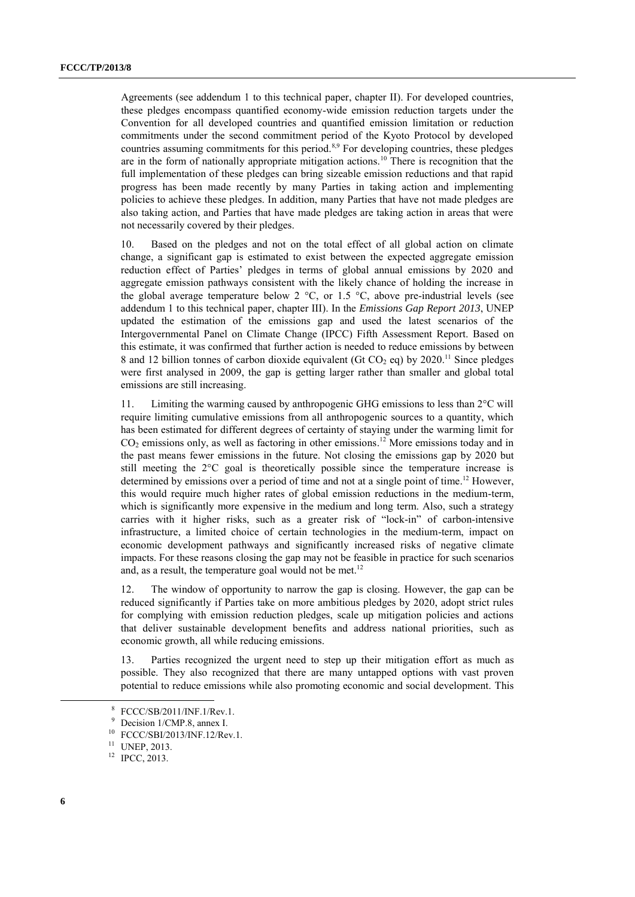Agreements (see addendum 1 to this technical paper, chapter II). For developed countries, these pledges encompass quantified economy-wide emission reduction targets under the Convention for all developed countries and quantified emission limitation or reduction commitments under the second commitment period of the Kyoto Protocol by developed countries assuming commitments for this period.<sup>8,9</sup> For developing countries, these pledges are in the form of nationally appropriate mitigation actions.<sup>10</sup> There is recognition that the full implementation of these pledges can bring sizeable emission reductions and that rapid progress has been made recently by many Parties in taking action and implementing policies to achieve these pledges. In addition, many Parties that have not made pledges are also taking action, and Parties that have made pledges are taking action in areas that were not necessarily covered by their pledges.

10. Based on the pledges and not on the total effect of all global action on climate change, a significant gap is estimated to exist between the expected aggregate emission reduction effect of Parties' pledges in terms of global annual emissions by 2020 and aggregate emission pathways consistent with the likely chance of holding the increase in the global average temperature below 2  $^{\circ}$ C, or 1.5  $^{\circ}$ C, above pre-industrial levels (see addendum 1 to this technical paper, chapter III). In the *Emissions Gap Report 2013*, UNEP updated the estimation of the emissions gap and used the latest scenarios of the Intergovernmental Panel on Climate Change (IPCC) Fifth Assessment Report. Based on this estimate, it was confirmed that further action is needed to reduce emissions by between 8 and 12 billion tonnes of carbon dioxide equivalent (Gt CO<sub>2</sub> eq) by 2020.<sup>11</sup> Since pledges were first analysed in 2009, the gap is getting larger rather than smaller and global total emissions are still increasing.

11. Limiting the warming caused by anthropogenic GHG emissions to less than 2°C will require limiting cumulative emissions from all anthropogenic sources to a quantity, which has been estimated for different degrees of certainty of staying under the warming limit for  $CO<sub>2</sub>$  emissions only, as well as factoring in other emissions.<sup>12</sup> More emissions today and in the past means fewer emissions in the future. Not closing the emissions gap by 2020 but still meeting the 2°C goal is theoretically possible since the temperature increase is determined by emissions over a period of time and not at a single point of time.<sup>12</sup> However, this would require much higher rates of global emission reductions in the medium-term, which is significantly more expensive in the medium and long term. Also, such a strategy carries with it higher risks, such as a greater risk of "lock-in" of carbon-intensive infrastructure, a limited choice of certain technologies in the medium-term, impact on economic development pathways and significantly increased risks of negative climate impacts. For these reasons closing the gap may not be feasible in practice for such scenarios and, as a result, the temperature goal would not be met.<sup>12</sup>

12. The window of opportunity to narrow the gap is closing. However, the gap can be reduced significantly if Parties take on more ambitious pledges by 2020, adopt strict rules for complying with emission reduction pledges, scale up mitigation policies and actions that deliver sustainable development benefits and address national priorities, such as economic growth, all while reducing emissions.

13. Parties recognized the urgent need to step up their mitigation effort as much as possible. They also recognized that there are many untapped options with vast proven potential to reduce emissions while also promoting economic and social development. This

<sup>8</sup> FCCC/SB/2011/INF.1/Rev.1.

Decision 1/CMP.8, annex I.

<sup>10</sup> FCCC/SBI/2013/INF.12/Rev.1.

<sup>11</sup> UNEP, 2013.

<sup>&</sup>lt;sup>12</sup> IPCC, 2013.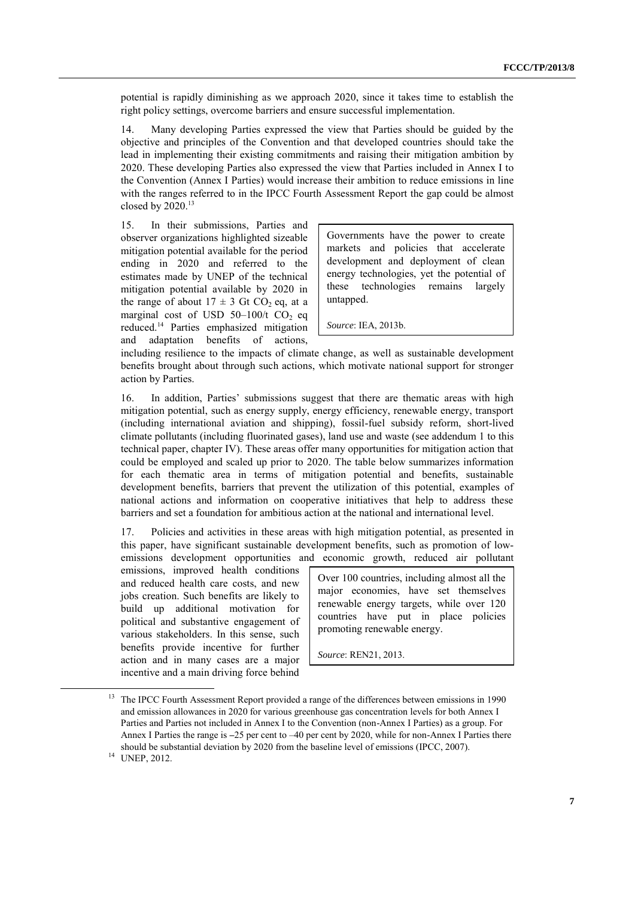potential is rapidly diminishing as we approach 2020, since it takes time to establish the right policy settings, overcome barriers and ensure successful implementation.

14. Many developing Parties expressed the view that Parties should be guided by the objective and principles of the Convention and that developed countries should take the lead in implementing their existing commitments and raising their mitigation ambition by 2020. These developing Parties also expressed the view that Parties included in Annex I to the Convention (Annex I Parties) would increase their ambition to reduce emissions in line with the ranges referred to in the IPCC Fourth Assessment Report the gap could be almost closed by  $2020$ .<sup>13</sup>

15. In their submissions, Parties and observer organizations highlighted sizeable mitigation potential available for the period ending in 2020 and referred to the estimates made by UNEP of the technical mitigation potential available by 2020 in the range of about  $17 \pm 3$  Gt CO<sub>2</sub> eq, at a marginal cost of USD  $50-100/t$  CO<sub>2</sub> eq reduced.<sup>14</sup> Parties emphasized mitigation and adaptation benefits of actions,

Governments have the power to create markets and policies that accelerate development and deployment of clean energy technologies, yet the potential of these technologies remains largely untapped.

*Source*: IEA, 2013b.

including resilience to the impacts of climate change, as well as sustainable development benefits brought about through such actions, which motivate national support for stronger action by Parties.

16. In addition, Parties' submissions suggest that there are thematic areas with high mitigation potential, such as energy supply, energy efficiency, renewable energy, transport (including international aviation and shipping), fossil-fuel subsidy reform, short-lived climate pollutants (including fluorinated gases), land use and waste (see addendum 1 to this technical paper, chapter IV). These areas offer many opportunities for mitigation action that could be employed and scaled up prior to 2020. The table below summarizes information for each thematic area in terms of mitigation potential and benefits, sustainable development benefits, barriers that prevent the utilization of this potential, examples of national actions and information on cooperative initiatives that help to address these barriers and set a foundation for ambitious action at the national and international level.

17. Policies and activities in these areas with high mitigation potential, as presented in this paper, have significant sustainable development benefits, such as promotion of lowemissions development opportunities and economic growth, reduced air pollutant

emissions, improved health conditions and reduced health care costs, and new jobs creation. Such benefits are likely to build up additional motivation for political and substantive engagement of various stakeholders. In this sense, such benefits provide incentive for further action and in many cases are a major incentive and a main driving force behind

Over 100 countries, including almost all the major economies, have set themselves renewable energy targets, while over 120 countries have put in place policies promoting renewable energy.

*Source*: REN21, 2013.

<sup>&</sup>lt;sup>13</sup> The IPCC Fourth Assessment Report provided a range of the differences between emissions in 1990 and emission allowances in 2020 for various greenhouse gas concentration levels for both Annex I Parties and Parties not included in Annex I to the Convention (non-Annex I Parties) as a group. For Annex I Parties the range is –25 per cent to –40 per cent by 2020, while for non-Annex I Parties there should be substantial deviation by 2020 from the baseline level of emissions (IPCC, 2007).

 $14$  UNEP, 2012.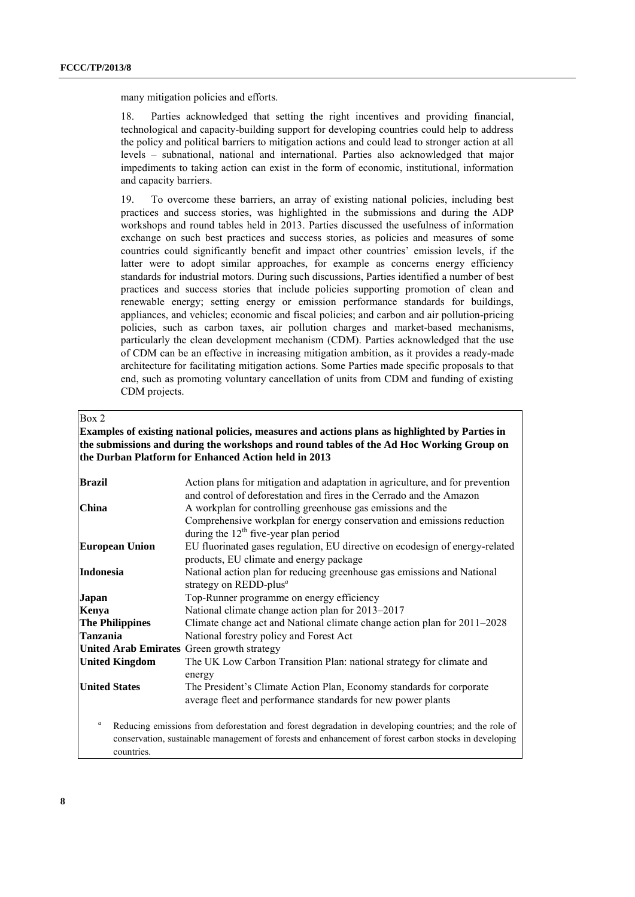many mitigation policies and efforts.

18. Parties acknowledged that setting the right incentives and providing financial, technological and capacity-building support for developing countries could help to address the policy and political barriers to mitigation actions and could lead to stronger action at all levels – subnational, national and international. Parties also acknowledged that major impediments to taking action can exist in the form of economic, institutional, information and capacity barriers.

19. To overcome these barriers, an array of existing national policies, including best practices and success stories, was highlighted in the submissions and during the ADP workshops and round tables held in 2013. Parties discussed the usefulness of information exchange on such best practices and success stories, as policies and measures of some countries could significantly benefit and impact other countries' emission levels, if the latter were to adopt similar approaches, for example as concerns energy efficiency standards for industrial motors. During such discussions, Parties identified a number of best practices and success stories that include policies supporting promotion of clean and renewable energy; setting energy or emission performance standards for buildings, appliances, and vehicles; economic and fiscal policies; and carbon and air pollution-pricing policies, such as carbon taxes, air pollution charges and market-based mechanisms, particularly the clean development mechanism (CDM). Parties acknowledged that the use of CDM can be an effective in increasing mitigation ambition, as it provides a ready-made architecture for facilitating mitigation actions. Some Parties made specific proposals to that end, such as promoting voluntary cancellation of units from CDM and funding of existing CDM projects.

#### Box 2

#### **Examples of existing national policies, measures and actions plans as highlighted by Parties in the submissions and during the workshops and round tables of the Ad Hoc Working Group on the Durban Platform for Enhanced Action held in 2013**

| <b>Brazil</b>                                                                                                                                                                                                                                    | Action plans for mitigation and adaptation in agriculture, and for prevention                                                                                                                                                                            |  |  |  |  |
|--------------------------------------------------------------------------------------------------------------------------------------------------------------------------------------------------------------------------------------------------|----------------------------------------------------------------------------------------------------------------------------------------------------------------------------------------------------------------------------------------------------------|--|--|--|--|
| <b>China</b>                                                                                                                                                                                                                                     | and control of deforestation and fires in the Cerrado and the Amazon<br>A workplan for controlling greenhouse gas emissions and the<br>Comprehensive workplan for energy conservation and emissions reduction<br>during the $12th$ five-year plan period |  |  |  |  |
| <b>European Union</b>                                                                                                                                                                                                                            | EU fluorinated gases regulation, EU directive on ecodesign of energy-related<br>products, EU climate and energy package                                                                                                                                  |  |  |  |  |
| Indonesia                                                                                                                                                                                                                                        | National action plan for reducing greenhouse gas emissions and National<br>strategy on REDD-plus <sup>a</sup>                                                                                                                                            |  |  |  |  |
| <b>Japan</b>                                                                                                                                                                                                                                     | Top-Runner programme on energy efficiency                                                                                                                                                                                                                |  |  |  |  |
| Kenya                                                                                                                                                                                                                                            | National climate change action plan for 2013-2017                                                                                                                                                                                                        |  |  |  |  |
| <b>The Philippines</b>                                                                                                                                                                                                                           | Climate change act and National climate change action plan for 2011–2028                                                                                                                                                                                 |  |  |  |  |
| <b>Tanzania</b>                                                                                                                                                                                                                                  | National forestry policy and Forest Act                                                                                                                                                                                                                  |  |  |  |  |
| United Arab Emirates Green growth strategy                                                                                                                                                                                                       |                                                                                                                                                                                                                                                          |  |  |  |  |
| <b>United Kingdom</b>                                                                                                                                                                                                                            | The UK Low Carbon Transition Plan: national strategy for climate and<br>energy                                                                                                                                                                           |  |  |  |  |
| <b>United States</b>                                                                                                                                                                                                                             | The President's Climate Action Plan, Economy standards for corporate<br>average fleet and performance standards for new power plants                                                                                                                     |  |  |  |  |
| $\boldsymbol{a}$<br>Reducing emissions from deforestation and forest degradation in developing countries; and the role of<br>conservation, sustainable management of forests and enhancement of forest carbon stocks in developing<br>countries. |                                                                                                                                                                                                                                                          |  |  |  |  |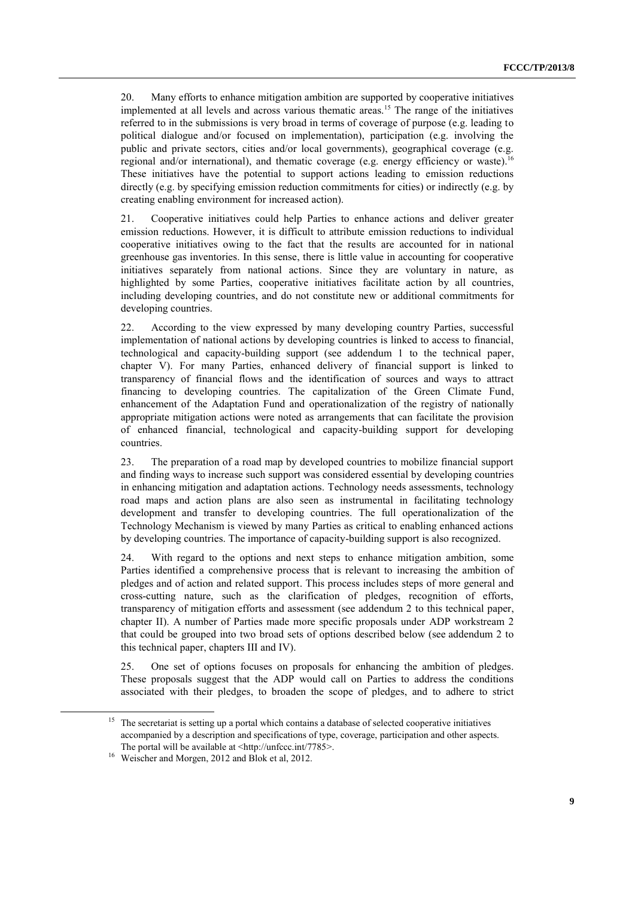20. Many efforts to enhance mitigation ambition are supported by cooperative initiatives implemented at all levels and across various thematic areas.<sup>15</sup> The range of the initiatives referred to in the submissions is very broad in terms of coverage of purpose (e.g. leading to political dialogue and/or focused on implementation), participation (e.g. involving the public and private sectors, cities and/or local governments), geographical coverage (e.g. regional and/or international), and thematic coverage (e.g. energy efficiency or waste).<sup>16</sup> These initiatives have the potential to support actions leading to emission reductions directly (e.g. by specifying emission reduction commitments for cities) or indirectly (e.g. by creating enabling environment for increased action).

21. Cooperative initiatives could help Parties to enhance actions and deliver greater emission reductions. However, it is difficult to attribute emission reductions to individual cooperative initiatives owing to the fact that the results are accounted for in national greenhouse gas inventories. In this sense, there is little value in accounting for cooperative initiatives separately from national actions. Since they are voluntary in nature, as highlighted by some Parties, cooperative initiatives facilitate action by all countries, including developing countries, and do not constitute new or additional commitments for developing countries.

22. According to the view expressed by many developing country Parties, successful implementation of national actions by developing countries is linked to access to financial, technological and capacity-building support (see addendum 1 to the technical paper, chapter V). For many Parties, enhanced delivery of financial support is linked to transparency of financial flows and the identification of sources and ways to attract financing to developing countries. The capitalization of the Green Climate Fund, enhancement of the Adaptation Fund and operationalization of the registry of nationally appropriate mitigation actions were noted as arrangements that can facilitate the provision of enhanced financial, technological and capacity-building support for developing countries.

23. The preparation of a road map by developed countries to mobilize financial support and finding ways to increase such support was considered essential by developing countries in enhancing mitigation and adaptation actions. Technology needs assessments, technology road maps and action plans are also seen as instrumental in facilitating technology development and transfer to developing countries. The full operationalization of the Technology Mechanism is viewed by many Parties as critical to enabling enhanced actions by developing countries. The importance of capacity-building support is also recognized.

24. With regard to the options and next steps to enhance mitigation ambition, some Parties identified a comprehensive process that is relevant to increasing the ambition of pledges and of action and related support. This process includes steps of more general and cross-cutting nature, such as the clarification of pledges, recognition of efforts, transparency of mitigation efforts and assessment (see addendum 2 to this technical paper, chapter II). A number of Parties made more specific proposals under ADP workstream 2 that could be grouped into two broad sets of options described below (see addendum 2 to this technical paper, chapters III and IV).

25. One set of options focuses on proposals for enhancing the ambition of pledges. These proposals suggest that the ADP would call on Parties to address the conditions associated with their pledges, to broaden the scope of pledges, and to adhere to strict

<sup>&</sup>lt;sup>15</sup> The secretariat is setting up a portal which contains a database of selected cooperative initiatives accompanied by a description and specifications of type, coverage, participation and other aspects. The portal will be available at <http://unfccc.int/7785>.

<sup>&</sup>lt;sup>16</sup> Weischer and Morgen, 2012 and Blok et al, 2012.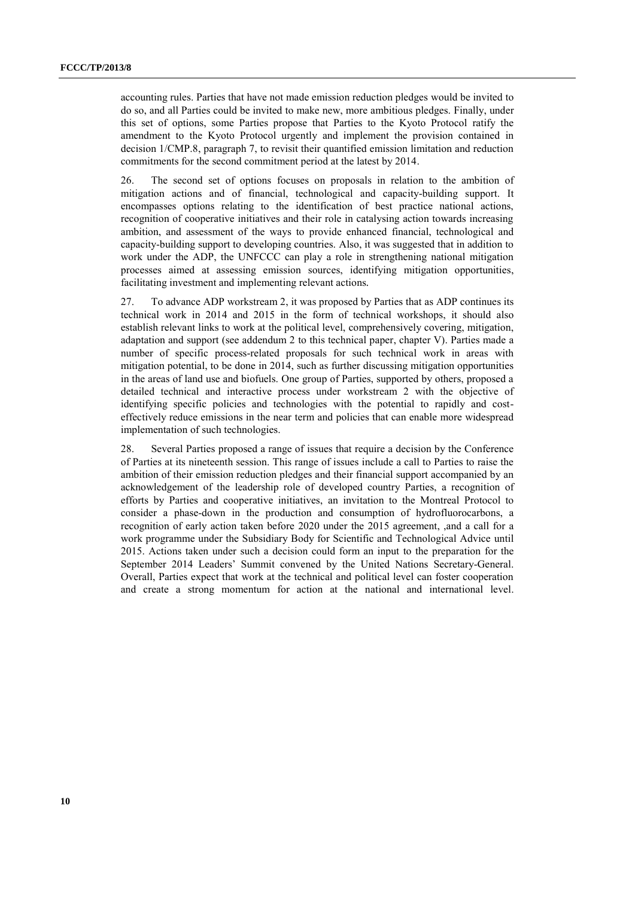accounting rules. Parties that have not made emission reduction pledges would be invited to do so, and all Parties could be invited to make new, more ambitious pledges. Finally, under this set of options, some Parties propose that Parties to the Kyoto Protocol ratify the amendment to the Kyoto Protocol urgently and implement the provision contained in decision 1/CMP.8, paragraph 7, to revisit their quantified emission limitation and reduction commitments for the second commitment period at the latest by 2014.

26. The second set of options focuses on proposals in relation to the ambition of mitigation actions and of financial, technological and capacity-building support. It encompasses options relating to the identification of best practice national actions, recognition of cooperative initiatives and their role in catalysing action towards increasing ambition, and assessment of the ways to provide enhanced financial, technological and capacity-building support to developing countries. Also, it was suggested that in addition to work under the ADP, the UNFCCC can play a role in strengthening national mitigation processes aimed at assessing emission sources, identifying mitigation opportunities, facilitating investment and implementing relevant actions*.* 

27. To advance ADP workstream 2, it was proposed by Parties that as ADP continues its technical work in 2014 and 2015 in the form of technical workshops, it should also establish relevant links to work at the political level, comprehensively covering, mitigation, adaptation and support (see addendum 2 to this technical paper, chapter V). Parties made a number of specific process-related proposals for such technical work in areas with mitigation potential, to be done in 2014, such as further discussing mitigation opportunities in the areas of land use and biofuels. One group of Parties, supported by others, proposed a detailed technical and interactive process under workstream 2 with the objective of identifying specific policies and technologies with the potential to rapidly and costeffectively reduce emissions in the near term and policies that can enable more widespread implementation of such technologies.

28. Several Parties proposed a range of issues that require a decision by the Conference of Parties at its nineteenth session. This range of issues include a call to Parties to raise the ambition of their emission reduction pledges and their financial support accompanied by an acknowledgement of the leadership role of developed country Parties, a recognition of efforts by Parties and cooperative initiatives, an invitation to the Montreal Protocol to consider a phase-down in the production and consumption of hydrofluorocarbons, a recognition of early action taken before 2020 under the 2015 agreement, ,and a call for a work programme under the Subsidiary Body for Scientific and Technological Advice until 2015. Actions taken under such a decision could form an input to the preparation for the September 2014 Leaders' Summit convened by the United Nations Secretary-General. Overall, Parties expect that work at the technical and political level can foster cooperation and create a strong momentum for action at the national and international level.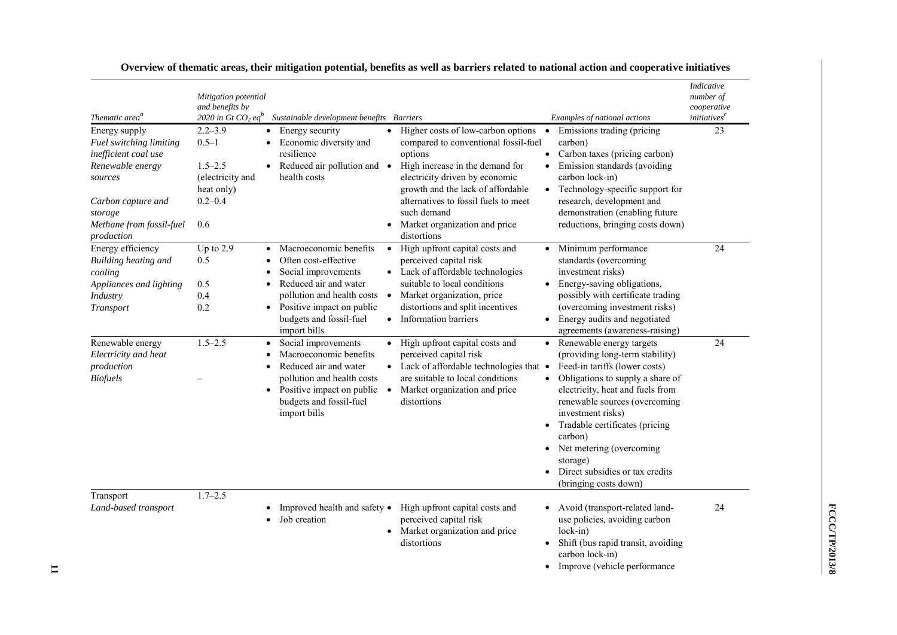| Thematic area <sup>a</sup>                                                                                                                                                 | Mitigation potential<br>and benefits by<br>2020 in Gt CO <sub>2</sub> eq <sup>b</sup>           | Sustainable development benefits Barriers                                                                                                                                                                                      |                                                                                                                                                                                                                                                                                                                     | Examples of national actions                                                                                                                                                                                                                                                                                                                                                  | <b>Indicative</b><br>number of<br>cooperative<br><i>initiatives</i> <sup>c</sup> |
|----------------------------------------------------------------------------------------------------------------------------------------------------------------------------|-------------------------------------------------------------------------------------------------|--------------------------------------------------------------------------------------------------------------------------------------------------------------------------------------------------------------------------------|---------------------------------------------------------------------------------------------------------------------------------------------------------------------------------------------------------------------------------------------------------------------------------------------------------------------|-------------------------------------------------------------------------------------------------------------------------------------------------------------------------------------------------------------------------------------------------------------------------------------------------------------------------------------------------------------------------------|----------------------------------------------------------------------------------|
| Energy supply<br>Fuel switching limiting<br>inefficient coal use<br>Renewable energy<br>sources<br>Carbon capture and<br>storage<br>Methane from fossil-fuel<br>production | $2.2 - 3.9$<br>$0.5 - 1$<br>$1.5 - 2.5$<br>(electricity and<br>heat only)<br>$0.2 - 0.4$<br>0.6 | Energy security<br>$\bullet$<br>Economic diversity and<br>resilience<br>Reduced air pollution and •<br>$\bullet$<br>health costs                                                                                               | Higher costs of low-carbon options<br>$\bullet$<br>compared to conventional fossil-fuel<br>options<br>High increase in the demand for<br>electricity driven by economic<br>growth and the lack of affordable<br>alternatives to fossil fuels to meet<br>such demand<br>Market organization and price<br>distortions | Emissions trading (pricing<br>$\bullet$<br>carbon)<br>Carbon taxes (pricing carbon)<br>$\bullet$<br>Emission standards (avoiding<br>carbon lock-in)<br>Technology-specific support for<br>research, development and<br>demonstration (enabling future<br>reductions, bringing costs down)                                                                                     | 23                                                                               |
| Energy efficiency<br>Building heating and<br>cooling<br>Appliances and lighting<br>Industry<br>Transport                                                                   | Up to $2.9$<br>0.5<br>0.5<br>0.4<br>0.2                                                         | Macroeconomic benefits<br>$\bullet$<br>Often cost-effective<br>Social improvements<br>Reduced air and water<br>pollution and health costs<br>Positive impact on public<br>$\bullet$<br>budgets and fossil-fuel<br>import bills | High upfront capital costs and<br>$\bullet$<br>perceived capital risk<br>• Lack of affordable technologies<br>suitable to local conditions<br>Market organization, price<br>$\bullet$<br>distortions and split incentives<br>• Information barriers                                                                 | Minimum performance<br>standards (overcoming<br>investment risks)<br>Energy-saving obligations,<br>possibly with certificate trading<br>(overcoming investment risks)<br>Energy audits and negotiated<br>$\bullet$<br>agreements (awareness-raising)                                                                                                                          | 24                                                                               |
| Renewable energy<br>Electricity and heat<br>production<br><b>Biofuels</b>                                                                                                  | $1.5 - 2.5$                                                                                     | Social improvements<br>$\bullet$<br>Macroeconomic benefits<br>Reduced air and water<br>pollution and health costs<br>Positive impact on public<br>$\bullet$<br>budgets and fossil-fuel<br>import bills                         | • High upfront capital costs and<br>perceived capital risk<br>• Lack of affordable technologies that •<br>are suitable to local conditions<br>Market organization and price<br>$\bullet$<br>distortions                                                                                                             | • Renewable energy targets<br>(providing long-term stability)<br>Feed-in tariffs (lower costs)<br>Obligations to supply a share of<br>electricity, heat and fuels from<br>renewable sources (overcoming<br>investment risks)<br>Tradable certificates (pricing<br>carbon)<br>Net metering (overcoming<br>storage)<br>Direct subsidies or tax credits<br>(bringing costs down) | 24                                                                               |
| Transport<br>Land-based transport                                                                                                                                          | $1.7 - 2.5$                                                                                     | Improved health and safety •<br>Job creation                                                                                                                                                                                   | High upfront capital costs and<br>perceived capital risk<br>Market organization and price<br>$\bullet$<br>distortions                                                                                                                                                                                               | Avoid (transport-related land-<br>use policies, avoiding carbon<br>$lock-in)$<br>Shift (bus rapid transit, avoiding<br>carbon lock-in)<br>Improve (vehicle performance                                                                                                                                                                                                        | 24                                                                               |

| Overview of thematic areas, their mitigation potential, benefits as well as barriers related to national action and cooperative initiatives |  |  |  |
|---------------------------------------------------------------------------------------------------------------------------------------------|--|--|--|
|                                                                                                                                             |  |  |  |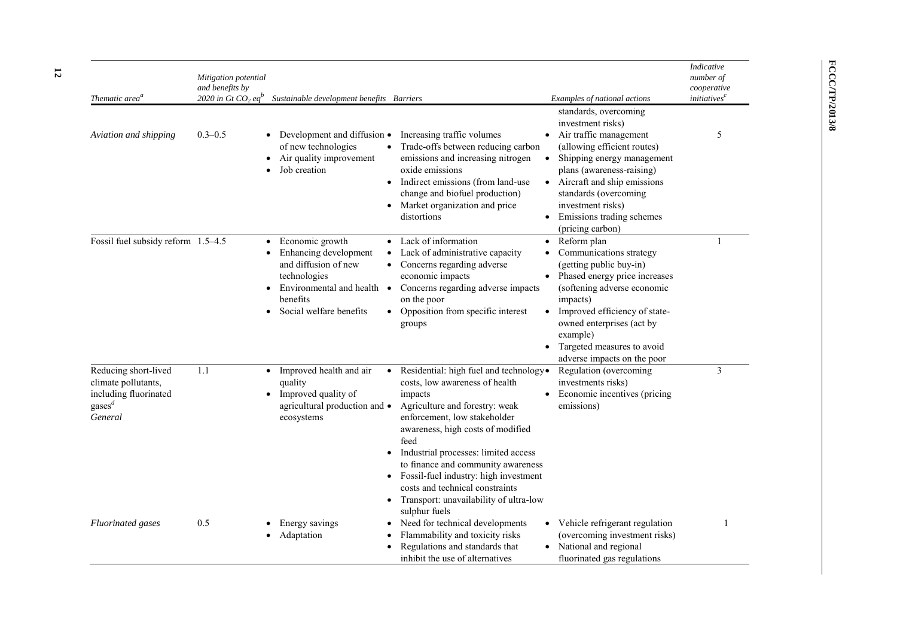| Thematic area <sup>a</sup>                                                                                                                    | Mitigation potential<br>and benefits by<br>2020 in Gt CO <sub>2</sub> eq <sup>p</sup> | Sustainable development benefits Barriers                                                                                                                     |                                                                                                                                                                                                                                                                                                                                                                                                                         | Examples of national actions                                                                                                                                                                                                                                                                                                                    | Indicative<br>number of<br>cooperative<br><i>initiatives</i> <sup>c</sup> |
|-----------------------------------------------------------------------------------------------------------------------------------------------|---------------------------------------------------------------------------------------|---------------------------------------------------------------------------------------------------------------------------------------------------------------|-------------------------------------------------------------------------------------------------------------------------------------------------------------------------------------------------------------------------------------------------------------------------------------------------------------------------------------------------------------------------------------------------------------------------|-------------------------------------------------------------------------------------------------------------------------------------------------------------------------------------------------------------------------------------------------------------------------------------------------------------------------------------------------|---------------------------------------------------------------------------|
| Aviation and shipping                                                                                                                         | $0.3 - 0.5$                                                                           | Development and diffusion •<br>$\bullet$<br>of new technologies<br>Air quality improvement<br>٠<br>Job creation<br>$\bullet$                                  | Increasing traffic volumes<br>Trade-offs between reducing carbon<br>emissions and increasing nitrogen<br>oxide emissions<br>Indirect emissions (from land-use<br>change and biofuel production)<br>Market organization and price<br>distortions                                                                                                                                                                         | standards, overcoming<br>investment risks)<br>Air traffic management<br>$\bullet$<br>(allowing efficient routes)<br>Shipping energy management<br>$\bullet$<br>plans (awareness-raising)<br>Aircraft and ship emissions<br>standards (overcoming<br>investment risks)<br>Emissions trading schemes                                              | 5                                                                         |
| Fossil fuel subsidy reform 1.5-4.5                                                                                                            |                                                                                       | Economic growth<br>Enhancing development<br>and diffusion of new<br>technologies<br>Environmental and health $\bullet$<br>benefits<br>Social welfare benefits | Lack of information<br>Lack of administrative capacity<br>Concerns regarding adverse<br>economic impacts<br>Concerns regarding adverse impacts<br>on the poor<br>Opposition from specific interest<br>groups                                                                                                                                                                                                            | (pricing carbon)<br>Reform plan<br>$\bullet$<br>Communications strategy<br>(getting public buy-in)<br>Phased energy price increases<br>(softening adverse economic<br>impacts)<br>Improved efficiency of state-<br>$\bullet$<br>owned enterprises (act by<br>example)<br>Targeted measures to avoid<br>$\bullet$<br>adverse impacts on the poor | -1                                                                        |
| Reducing short-lived<br>climate pollutants,<br>including fluorinated<br>$\mathbf{g} \mathbf{a} \mathbf{s} \mathbf{e} \mathbf{s}^d$<br>General | 1.1                                                                                   | Improved health and air<br>$\bullet$<br>quality<br>Improved quality of<br>$\bullet$<br>agricultural production and •<br>ecosystems<br>$\bullet$<br>٠          | Residential: high fuel and technology.<br>costs, low awareness of health<br>impacts<br>Agriculture and forestry: weak<br>enforcement, low stakeholder<br>awareness, high costs of modified<br>feed<br>Industrial processes: limited access<br>to finance and community awareness<br>Fossil-fuel industry: high investment<br>costs and technical constraints<br>Transport: unavailability of ultra-low<br>sulphur fuels | Regulation (overcoming<br>investments risks)<br>Economic incentives (pricing<br>emissions)                                                                                                                                                                                                                                                      | $\mathfrak{Z}$                                                            |
| <b>Fluorinated</b> gases                                                                                                                      | 0.5                                                                                   | Energy savings<br>Adaptation                                                                                                                                  | Need for technical developments<br>Flammability and toxicity risks<br>Regulations and standards that<br>inhibit the use of alternatives                                                                                                                                                                                                                                                                                 | Vehicle refrigerant regulation<br>$\bullet$<br>(overcoming investment risks)<br>• National and regional<br>fluorinated gas regulations                                                                                                                                                                                                          | 1                                                                         |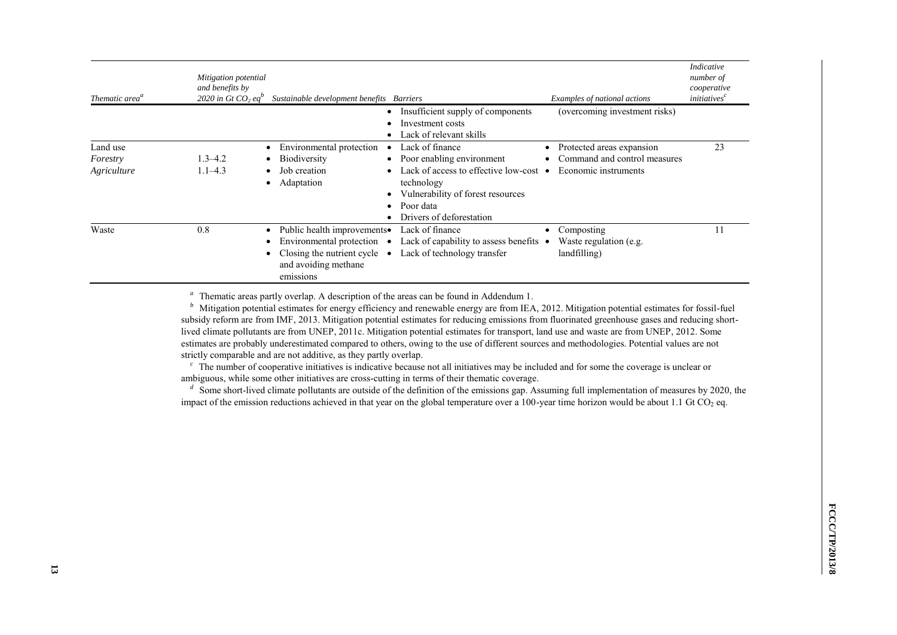| Thematic area <sup>a</sup>          | Mitigation potential<br>and benefits by<br>2020 in Gt CO <sub>2</sub> eq <sup>v</sup> | Sustainable development benefits Barriers                                                                                                         |                                                                                                                                                                                            | Examples of national actions                                                      | <b>Indicative</b><br>number of<br>cooperative<br><i>initiatives</i> <sup>c</sup> |
|-------------------------------------|---------------------------------------------------------------------------------------|---------------------------------------------------------------------------------------------------------------------------------------------------|--------------------------------------------------------------------------------------------------------------------------------------------------------------------------------------------|-----------------------------------------------------------------------------------|----------------------------------------------------------------------------------|
|                                     |                                                                                       |                                                                                                                                                   | Insufficient supply of components<br>Investment costs<br>Lack of relevant skills                                                                                                           | (overcoming investment risks)                                                     |                                                                                  |
| Land use<br>Forestry<br>Agriculture | $1.3 - 4.2$<br>$1.1 - 4.3$                                                            | Environmental protection<br><b>Biodiversity</b><br>Job creation<br>Adaptation                                                                     | Lack of finance<br>Poor enabling environment<br>Lack of access to effective low-cost $\bullet$<br>technology<br>Vulnerability of forest resources<br>Poor data<br>Drivers of deforestation | Protected areas expansion<br>Command and control measures<br>Economic instruments | 23                                                                               |
| Waste                               | 0.8                                                                                   | Public health improvements.<br>Environmental protection $\bullet$<br>Closing the nutrient cycle<br>$\bullet$<br>and avoiding methane<br>emissions | Lack of finance<br>Lack of capability to assess benefits $\bullet$<br>Lack of technology transfer                                                                                          | Composting<br>Waste regulation (e.g.<br>landfilling)                              |                                                                                  |

<sup>a</sup> Thematic areas partly overlap. A description of the areas can be found in Addendum 1.

<sup>b</sup> Mitigation potential estimates for energy efficiency and renewable energy are from IEA, 2012. Mitigation potential estimates for fossil-fuel subsidy reform are from IMF, 2013. Mitigation potential estimates for reducing emissions from fluorinated greenhouse gases and reducing shortlived climate pollutants are from UNEP, 2011c. Mitigation potential estimates for transport, land use and waste are from UNEP, 2012. Some estimates are probably underestimated compared to others, owing to the use of different sources and methodologies. Potential values are not strictly comparable and are not additive, as they partly overlap.

<sup>c</sup> The number of cooperative initiatives is indicative because not all initiatives may be included and for some the coverage is unclear or ambiguous, while some other initiatives are cross-cutting in terms of their thematic coverage.

<sup>*d*</sup> Some short-lived climate pollutants are outside of the definition of the emissions gap. Assuming full implementation of measures by 2020, the impact of the emission reductions achieved in that year on the global temperature over a  $100$ -year time horizon would be about 1.1 Gt CO<sub>2</sub> eq.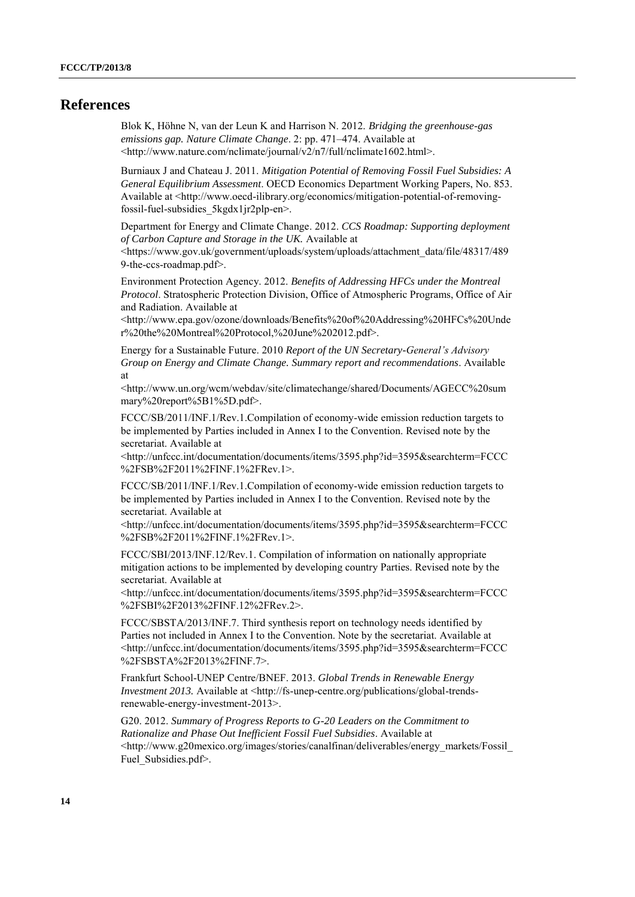## **References**

Blok K, Höhne N, van der Leun K and Harrison N. 2012. *Bridging the greenhouse-gas emissions gap. Nature Climate Change*. 2: pp. 471–474. Available at <http://www.nature.com/nclimate/journal/v2/n7/full/nclimate1602.html>.

Burniaux J and Chateau J. 2011. *Mitigation Potential of Removing Fossil Fuel Subsidies: A General Equilibrium Assessment*. OECD Economics Department Working Papers, No. 853. Available at <http://www.oecd-ilibrary.org/economics/mitigation-potential-of-removingfossil-fuel-subsidies\_5kgdx1jr2plp-en>.

Department for Energy and Climate Change. 2012. *CCS Roadmap: Supporting deployment of Carbon Capture and Storage in the UK.* Available at

<https://www.gov.uk/government/uploads/system/uploads/attachment\_data/file/48317/489 9-the-ccs-roadmap.pdf>.

Environment Protection Agency. 2012. *Benefits of Addressing HFCs under the Montreal Protocol*. Stratospheric Protection Division, Office of Atmospheric Programs, Office of Air and Radiation. Available at

<http://www.epa.gov/ozone/downloads/Benefits%20of%20Addressing%20HFCs%20Unde r%20the%20Montreal%20Protocol,%20June%202012.pdf>.

Energy for a Sustainable Future. 2010 *Report of the UN Secretary-General's Advisory Group on Energy and Climate Change. Summary report and recommendations*. Available at

<http://www.un.org/wcm/webdav/site/climatechange/shared/Documents/AGECC%20sum mary%20report%5B1%5D.pdf>.

FCCC/SB/2011/INF.1/Rev.1.Compilation of economy-wide emission reduction targets to be implemented by Parties included in Annex I to the Convention. Revised note by the secretariat. Available at

<http://unfccc.int/documentation/documents/items/3595.php?id=3595&searchterm=FCCC %2FSB%2F2011%2FINF.1%2FRev.1>.

FCCC/SB/2011/INF.1/Rev.1.Compilation of economy-wide emission reduction targets to be implemented by Parties included in Annex I to the Convention. Revised note by the secretariat. Available at

<http://unfccc.int/documentation/documents/items/3595.php?id=3595&searchterm=FCCC %2FSB%2F2011%2FINF.1%2FRev.1>.

FCCC/SBI/2013/INF.12/Rev.1. Compilation of information on nationally appropriate mitigation actions to be implemented by developing country Parties. Revised note by the secretariat. Available at

<http://unfccc.int/documentation/documents/items/3595.php?id=3595&searchterm=FCCC %2FSBI%2F2013%2FINF.12%2FRev.2>.

FCCC/SBSTA/2013/INF.7. Third synthesis report on technology needs identified by Parties not included in Annex I to the Convention. Note by the secretariat. Available at <http://unfccc.int/documentation/documents/items/3595.php?id=3595&searchterm=FCCC %2FSBSTA%2F2013%2FINF.7>.

Frankfurt School-UNEP Centre/BNEF. 2013. *Global Trends in Renewable Energy Investment 2013.* Available at <http://fs-unep-centre.org/publications/global-trendsrenewable-energy-investment-2013>.

G20. 2012. *Summary of Progress Reports to G-20 Leaders on the Commitment to Rationalize and Phase Out Inefficient Fossil Fuel Subsidies*. Available at <http://www.g20mexico.org/images/stories/canalfinan/deliverables/energy\_markets/Fossil\_ Fuel Subsidies.pdf>.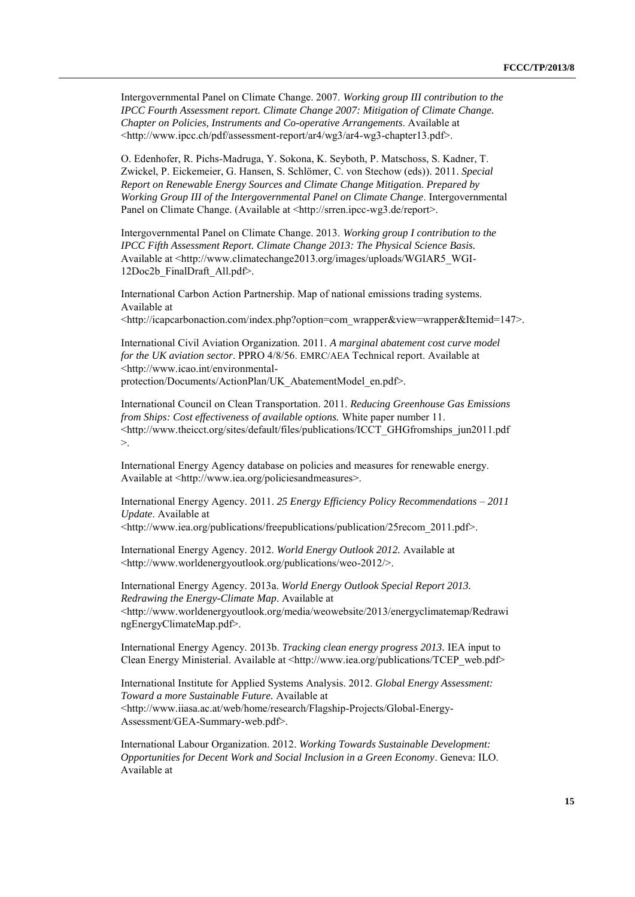Intergovernmental Panel on Climate Change. 2007. *Working group III contribution to the IPCC Fourth Assessment report. Climate Change 2007: Mitigation of Climate Change. Chapter on Policies, Instruments and Co-operative Arrangements*. Available at <http://www.ipcc.ch/pdf/assessment-report/ar4/wg3/ar4-wg3-chapter13.pdf>.

O. Edenhofer, R. Pichs-Madruga, Y. Sokona, K. Seyboth, P. Matschoss, S. Kadner, T. Zwickel, P. Eickemeier, G. Hansen, S. Schlömer, C. von Stechow (eds)). 2011. *Special Report on Renewable Energy Sources and Climate Change Mitigatio*n. *Prepared by Working Group III of the Intergovernmental Panel on Climate Change*. Intergovernmental Panel on Climate Change. (Available at <http://srren.ipcc-wg3.de/report>.

Intergovernmental Panel on Climate Change. 2013. *Working group I contribution to the IPCC Fifth Assessment Report. Climate Change 2013: The Physical Science Basis.* Available at <http://www.climatechange2013.org/images/uploads/WGIAR5\_WGI-12Doc2b\_FinalDraft\_All.pdf>.

International Carbon Action Partnership. Map of national emissions trading systems. Available at

<http://icapcarbonaction.com/index.php?option=com\_wrapper&view=wrapper&Itemid=147>.

International Civil Aviation Organization. 2011. *A marginal abatement cost curve model for the UK aviation sector*. PPRO 4/8/56. EMRC/AEA Technical report. Available at <http://www.icao.int/environmentalprotection/Documents/ActionPlan/UK\_AbatementModel\_en.pdf>.

International Council on Clean Transportation. 2011. *Reducing Greenhouse Gas Emissions from Ships: Cost effectiveness of available options.* White paper number 11. <http://www.theicct.org/sites/default/files/publications/ICCT\_GHGfromships\_jun2011.pdf  $>$ .

International Energy Agency database on policies and measures for renewable energy. Available at <http://www.iea.org/policiesandmeasures>.

International Energy Agency. 2011. *25 Energy Efficiency Policy Recommendations – 2011 Update*. Available at

<http://www.iea.org/publications/freepublications/publication/25recom\_2011.pdf>.

International Energy Agency. 2012. *World Energy Outlook 2012.* Available at <http://www.worldenergyoutlook.org/publications/weo-2012/>.

International Energy Agency. 2013a. *World Energy Outlook Special Report 2013. Redrawing the Energy-Climate Map*. Available at <http://www.worldenergyoutlook.org/media/weowebsite/2013/energyclimatemap/Redrawi ngEnergyClimateMap.pdf>.

International Energy Agency. 2013b. *Tracking clean energy progress 2013.* IEA input to Clean Energy Ministerial. Available at <http://www.iea.org/publications/TCEP\_web.pdf>

International Institute for Applied Systems Analysis. 2012. *Global Energy Assessment: Toward a more Sustainable Future.* Available at <http://www.iiasa.ac.at/web/home/research/Flagship-Projects/Global-Energy-Assessment/GEA-Summary-web.pdf>.

International Labour Organization. 2012. *Working Towards Sustainable Development: Opportunities for Decent Work and Social Inclusion in a Green Economy*. Geneva: ILO. Available at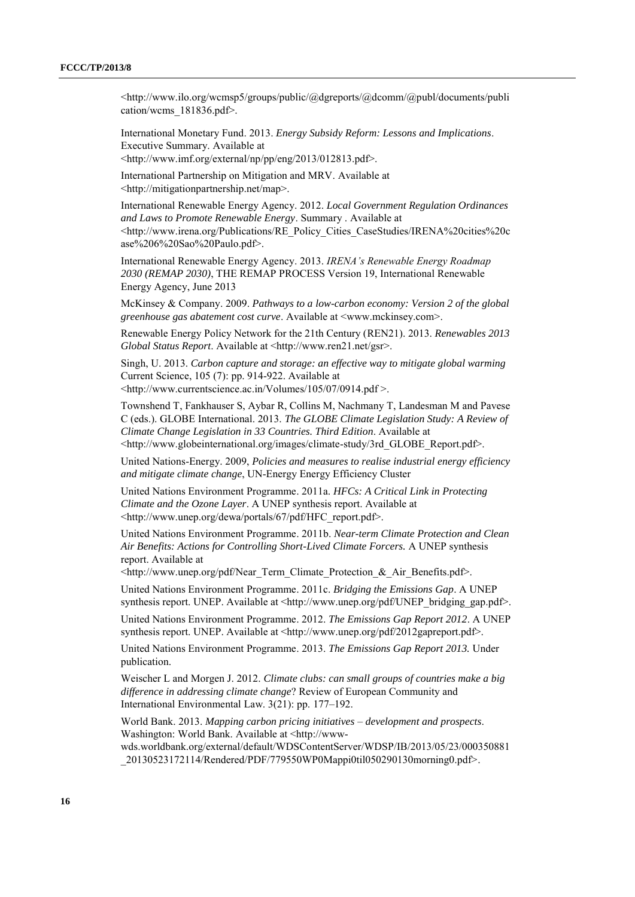<http://www.ilo.org/wcmsp5/groups/public/@dgreports/@dcomm/@publ/documents/publi cation/wcms\_181836.pdf>.

International Monetary Fund. 2013. *Energy Subsidy Reform: Lessons and Implications*. Executive Summary. Available at

<http://www.imf.org/external/np/pp/eng/2013/012813.pdf>.

International Partnership on Mitigation and MRV. Available at <http://mitigationpartnership.net/map>.

International Renewable Energy Agency. 2012. *Local Government Regulation Ordinances and Laws to Promote Renewable Energy*. Summary . Available at <http://www.irena.org/Publications/RE\_Policy\_Cities\_CaseStudies/IRENA%20cities%20c ase%206%20Sao%20Paulo.pdf>.

International Renewable Energy Agency. 2013. *IRENA's Renewable Energy Roadmap 2030 (REMAP 2030)*, THE REMAP PROCESS Version 19, International Renewable Energy Agency, June 2013

McKinsey & Company. 2009. *Pathways to a low-carbon economy: Version 2 of the global greenhouse gas abatement cost curve*. Available at <www.mckinsey.com>.

Renewable Energy Policy Network for the 21th Century (REN21). 2013. *Renewables 2013 Global Status Report*. Available at <http://www.ren21.net/gsr>.

Singh, U. 2013. *Carbon capture and storage: an effective way to mitigate global warming* Current Science, 105 (7): pp. 914-922. Available at <http://www.currentscience.ac.in/Volumes/105/07/0914.pdf >.

Townshend T, Fankhauser S, Aybar R, Collins M, Nachmany T, Landesman M and Pavese

C (eds.). GLOBE International. 2013. *The GLOBE Climate Legislation Study: A Review of Climate Change Legislation in 33 Countries. Third Edition*. Available at <http://www.globeinternational.org/images/climate-study/3rd\_GLOBE\_Report.pdf>.

United Nations-Energy. 2009, *Policies and measures to realise industrial energy efficiency and mitigate climate change*, UN-Energy Energy Efficiency Cluster

United Nations Environment Programme. 2011a. *HFCs: A Critical Link in Protecting Climate and the Ozone Layer*. A UNEP synthesis report. Available at <http://www.unep.org/dewa/portals/67/pdf/HFC\_report.pdf>.

United Nations Environment Programme. 2011b. *Near-term Climate Protection and Clean Air Benefits: Actions for Controlling Short-Lived Climate Forcers.* A UNEP synthesis report. Available at

<http://www.unep.org/pdf/Near\_Term\_Climate\_Protection\_&\_Air\_Benefits.pdf>.

United Nations Environment Programme. 2011c. *Bridging the Emissions Gap*. A UNEP synthesis report. UNEP. Available at <http://www.unep.org/pdf/UNEP\_bridging\_gap.pdf>.

United Nations Environment Programme. 2012. *The Emissions Gap Report 2012*. A UNEP synthesis report. UNEP. Available at <http://www.unep.org/pdf/2012gapreport.pdf>.

United Nations Environment Programme. 2013. *The Emissions Gap Report 2013.* Under publication.

Weischer L and Morgen J. 2012. *Climate clubs: can small groups of countries make a big difference in addressing climate change*? Review of European Community and International Environmental Law. 3(21): pp. 177–192.

World Bank. 2013. *Mapping carbon pricing initiatives – development and prospects*. Washington: World Bank. Available at <http://www-

wds.worldbank.org/external/default/WDSContentServer/WDSP/IB/2013/05/23/000350881 \_20130523172114/Rendered/PDF/779550WP0Mappi0til050290130morning0.pdf>.